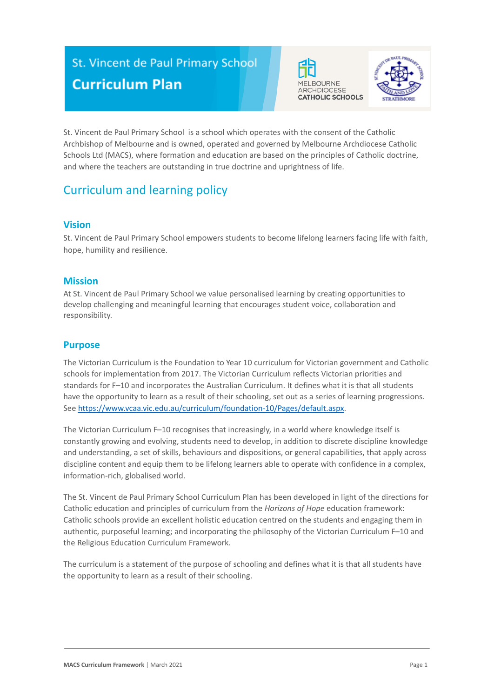# St. Vincent de Paul Primary School **Curriculum Plan**





St. Vincent de Paul Primary School is a school which operates with the consent of the Catholic Archbishop of Melbourne and is owned, operated and governed by Melbourne Archdiocese Catholic Schools Ltd (MACS), where formation and education are based on the principles of Catholic doctrine, and where the teachers are outstanding in true doctrine and uprightness of life.

## Curriculum and learning policy

### **Vision**

St. Vincent de Paul Primary School empowers students to become lifelong learners facing life with faith, hope, humility and resilience.

#### **Mission**

At St. Vincent de Paul Primary School we value personalised learning by creating opportunities to develop challenging and meaningful learning that encourages student voice, collaboration and responsibility.

## **Purpose**

The Victorian Curriculum is the Foundation to Year 10 curriculum for Victorian government and Catholic schools for implementation from 2017. The Victorian Curriculum reflects Victorian priorities and standards for F–10 and incorporates the Australian Curriculum. It defines what it is that all students have the opportunity to learn as a result of their schooling, set out as a series of learning progressions. See <https://www.vcaa.vic.edu.au/curriculum/foundation-10/Pages/default.aspx>.

The Victorian Curriculum F–10 recognises that increasingly, in a world where knowledge itself is constantly growing and evolving, students need to develop, in addition to discrete discipline knowledge and understanding, a set of skills, behaviours and dispositions, or general capabilities, that apply across discipline content and equip them to be lifelong learners able to operate with confidence in a complex, information-rich, globalised world.

The St. Vincent de Paul Primary School Curriculum Plan has been developed in light of the directions for Catholic education and principles of curriculum from the *Horizons of Hope* education framework: Catholic schools provide an excellent holistic education centred on the students and engaging them in authentic, purposeful learning; and incorporating the philosophy of the Victorian Curriculum F–10 and the Religious Education Curriculum Framework.

The curriculum is a statement of the purpose of schooling and defines what it is that all students have the opportunity to learn as a result of their schooling.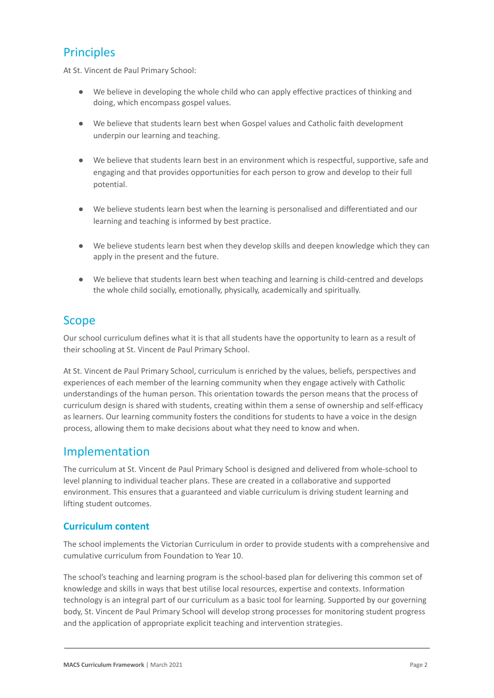## **Principles**

At St. Vincent de Paul Primary School:

- We believe in developing the whole child who can apply effective practices of thinking and doing, which encompass gospel values.
- We believe that students learn best when Gospel values and Catholic faith development underpin our learning and teaching.
- We believe that students learn best in an environment which is respectful, supportive, safe and engaging and that provides opportunities for each person to grow and develop to their full potential.
- We believe students learn best when the learning is personalised and differentiated and our learning and teaching is informed by best practice.
- We believe students learn best when they develop skills and deepen knowledge which they can apply in the present and the future.
- We believe that students learn best when teaching and learning is child-centred and develops the whole child socially, emotionally, physically, academically and spiritually.

## Scope

Our school curriculum defines what it is that all students have the opportunity to learn as a result of their schooling at St. Vincent de Paul Primary School.

At St. Vincent de Paul Primary School, curriculum is enriched by the values, beliefs, perspectives and experiences of each member of the learning community when they engage actively with Catholic understandings of the human person. This orientation towards the person means that the process of curriculum design is shared with students, creating within them a sense of ownership and self-efficacy as learners. Our learning community fosters the conditions for students to have a voice in the design process, allowing them to make decisions about what they need to know and when.

## Implementation

The curriculum at St. Vincent de Paul Primary School is designed and delivered from whole-school to level planning to individual teacher plans. These are created in a collaborative and supported environment. This ensures that a guaranteed and viable curriculum is driving student learning and lifting student outcomes.

### **Curriculum content**

The school implements the Victorian Curriculum in order to provide students with a comprehensive and cumulative curriculum from Foundation to Year 10.

The school's teaching and learning program is the school-based plan for delivering this common set of knowledge and skills in ways that best utilise local resources, expertise and contexts. Information technology is an integral part of our curriculum as a basic tool for learning. Supported by our governing body, St. Vincent de Paul Primary School will develop strong processes for monitoring student progress and the application of appropriate explicit teaching and intervention strategies.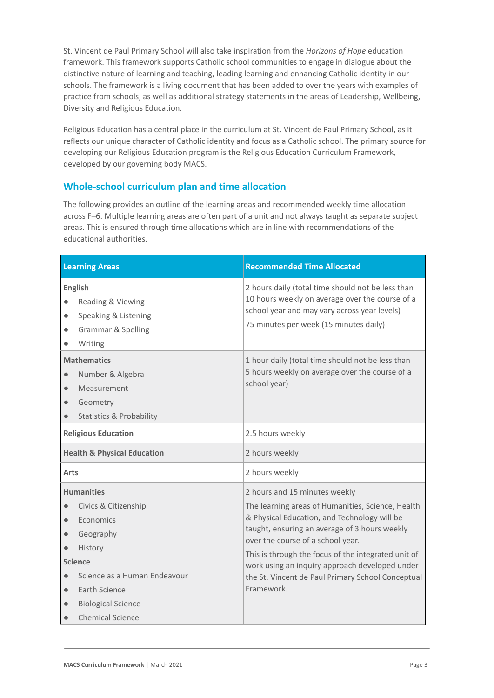St. Vincent de Paul Primary School will also take inspiration from the *Horizons of Hope* education framework. This framework supports Catholic school communities to engage in dialogue about the distinctive nature of learning and teaching, leading learning and enhancing Catholic identity in our schools. The framework is a living document that has been added to over the years with examples of practice from schools, as well as additional strategy statements in the areas of Leadership, Wellbeing, Diversity and Religious Education.

Religious Education has a central place in the curriculum at St. Vincent de Paul Primary School, as it reflects our unique character of Catholic identity and focus as a Catholic school. The primary source for developing our Religious Education program is the Religious Education Curriculum Framework, developed by our governing body MACS.

## **Whole-school curriculum plan and time allocation**

The following provides an outline of the learning areas and recommended weekly time allocation across F–6. Multiple learning areas are often part of a unit and not always taught as separate subject areas. This is ensured through time allocations which are in line with recommendations of the educational authorities.

| <b>Learning Areas</b>                                                                                                                                                                                                                                                      | <b>Recommended Time Allocated</b>                                                                                                                                                                                                                                                                                                                                                                    |
|----------------------------------------------------------------------------------------------------------------------------------------------------------------------------------------------------------------------------------------------------------------------------|------------------------------------------------------------------------------------------------------------------------------------------------------------------------------------------------------------------------------------------------------------------------------------------------------------------------------------------------------------------------------------------------------|
| <b>English</b><br>Reading & Viewing<br>Speaking & Listening<br><b>Grammar &amp; Spelling</b><br>$\bullet$<br>Writing                                                                                                                                                       | 2 hours daily (total time should not be less than<br>10 hours weekly on average over the course of a<br>school year and may vary across year levels)<br>75 minutes per week (15 minutes daily)                                                                                                                                                                                                       |
| <b>Mathematics</b><br>Number & Algebra<br>Measurement<br>$\bullet$<br>Geometry<br>$\bullet$<br><b>Statistics &amp; Probability</b>                                                                                                                                         | 1 hour daily (total time should not be less than<br>5 hours weekly on average over the course of a<br>school year)                                                                                                                                                                                                                                                                                   |
| <b>Religious Education</b>                                                                                                                                                                                                                                                 | 2.5 hours weekly                                                                                                                                                                                                                                                                                                                                                                                     |
| <b>Health &amp; Physical Education</b>                                                                                                                                                                                                                                     | 2 hours weekly                                                                                                                                                                                                                                                                                                                                                                                       |
| Arts                                                                                                                                                                                                                                                                       | 2 hours weekly                                                                                                                                                                                                                                                                                                                                                                                       |
| <b>Humanities</b><br>Civics & Citizenship<br>$\bullet$<br>Economics<br>$\bullet$<br>Geography<br>$\bullet$<br>History<br><b>Science</b><br>Science as a Human Endeavour<br>$\bullet$<br>Earth Science<br>$\bullet$<br><b>Biological Science</b><br><b>Chemical Science</b> | 2 hours and 15 minutes weekly<br>The learning areas of Humanities, Science, Health<br>& Physical Education, and Technology will be<br>taught, ensuring an average of 3 hours weekly<br>over the course of a school year.<br>This is through the focus of the integrated unit of<br>work using an inquiry approach developed under<br>the St. Vincent de Paul Primary School Conceptual<br>Framework. |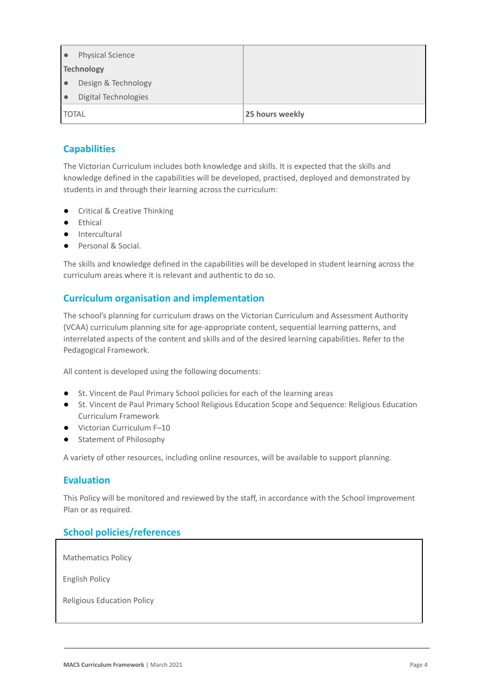|              | <b>Physical Science</b> |                 |
|--------------|-------------------------|-----------------|
|              | <b>Technology</b>       |                 |
|              | Design & Technology     |                 |
|              | Digital Technologies    |                 |
| <b>TOTAL</b> |                         | 25 hours weekly |

## **Capabilities**

The Victorian Curriculum includes both knowledge and skills. It is expected that the skills and knowledge defined in the capabilities will be developed, practised, deployed and demonstrated by students in and through their learning across the curriculum:

- Critical & Creative Thinking
- Ethical
- Intercultural
- Personal & Social.

The skills and knowledge defined in the capabilities will be developed in student learning across the curriculum areas where it is relevant and authentic to do so.

## **Curriculum organisation and implementation**

The school's planning for curriculum draws on the Victorian Curriculum and Assessment Authority (VCAA) curriculum planning site for age-appropriate content, sequential learning patterns, and interrelated aspects of the content and skills and of the desired learning capabilities. Refer to the Pedagogical Framework.

All content is developed using the following documents:

- St. Vincent de Paul Primary School policies for each of the learning areas
- St. Vincent de Paul Primary School Religious Education Scope and Sequence: Religious Education Curriculum Framework
- Victorian Curriculum F–10
- Statement of Philosophy

A variety of other resources, including online resources, will be available to support planning.

#### **Evaluation**

This Policy will be monitored and reviewed by the staff, in accordance with the School Improvement Plan or as required.

### **School policies/references**

Mathematics Policy

English Policy

Religious Education Policy